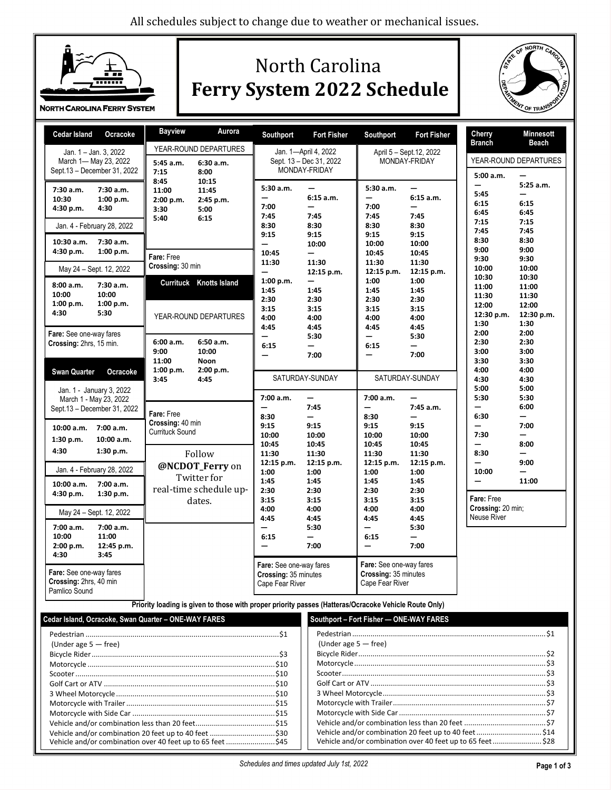

# North Carolina **Ferry System 2022 Schedule**



| <b>Cedar Island</b><br>Ocracoke                                                                                                                      | <b>Bayview</b><br>Aurora                                                                           | Southport<br><b>Fort Fisher</b>                                                                                                                                                | Southport<br><b>Fort Fisher</b>                                                                                                                                                                          | Cherry<br><b>Minnesott</b>                                                                                                                                       |  |
|------------------------------------------------------------------------------------------------------------------------------------------------------|----------------------------------------------------------------------------------------------------|--------------------------------------------------------------------------------------------------------------------------------------------------------------------------------|----------------------------------------------------------------------------------------------------------------------------------------------------------------------------------------------------------|------------------------------------------------------------------------------------------------------------------------------------------------------------------|--|
| Jan. 1 - Jan. 3, 2022<br>March 1- May 23, 2022<br>Sept 13 - December 31, 2022                                                                        | YEAR-ROUND DEPARTURES<br>5:45 a.m.<br>6:30 a.m.<br>7:15<br>8:00                                    | Jan. 1-April 4, 2022<br>Sept. 13 - Dec 31, 2022<br>MONDAY-FRIDAY                                                                                                               | April 5 - Sept. 12, 2022<br>MONDAY-FRIDAY                                                                                                                                                                | Branch<br>Beach<br>YEAR-ROUND DEPARTURES<br>5:00 a.m.                                                                                                            |  |
| 7:30 a.m.<br>7:30 a.m.<br>10:30<br>1:00 p.m.<br>4:30 p.m.<br>4:30<br>Jan. 4 - February 28, 2022<br>10:30 a.m.<br>7:30 a.m.<br>4:30 p.m.<br>1:00 p.m. | 8:45<br>10:15<br>11:00<br>11:45<br>2:00 p.m.<br>2:45 p.m.<br>5:00<br>3:30<br>5:40<br>6:15          | 5:30a.m.<br>$\equiv$<br>6:15a.m.<br>7:00<br>7:45<br>7:45<br>8:30<br>8:30<br>9:15<br>9:15<br>10:00<br>$\overline{\phantom{0}}$                                                  | 5:30 a.m.<br>-<br>6:15a.m.<br>7:00<br>7:45<br>7:45<br>8:30<br>8:30<br>9:15<br>9:15<br>10:00<br>10:00                                                                                                     | $5:25$ a.m.<br>5:45<br>6:15<br>6:15<br>6:45<br>6:45<br>7:15<br>7:15<br>7:45<br>7:45<br>8:30<br>8:30<br>9:00<br>9:00                                              |  |
| May 24 - Sept. 12, 2022                                                                                                                              | Fare: Free<br>Crossing: 30 min                                                                     | 10:45<br>-<br>11:30<br>11:30<br>12:15 p.m.<br>—                                                                                                                                | 10:45<br>10:45<br>11:30<br>11:30<br>12:15 p.m.<br>12:15 p.m.                                                                                                                                             | 9:30<br>9:30<br>10:00<br>10:00                                                                                                                                   |  |
| 8:00 a.m.<br>7:30 a.m.<br>10:00<br>10:00<br>1:00 p.m.<br>1:00 p.m.<br>5:30<br>4:30<br>Fare: See one-way fares<br>Crossing: 2hrs, 15 min.             | <b>Currituck Knotts Island</b><br>YEAR-ROUND DEPARTURES<br>6:00 a.m.<br>6:50 a.m.<br>9:00<br>10:00 | 1:00 p.m.<br>1:45<br>1:45<br>2:30<br>2:30<br>3:15<br>3:15<br>4:00<br>4:00<br>4:45<br>4:45<br>5:30<br>$\overline{\phantom{0}}$<br>6:15<br>—<br>7:00<br>$\overline{\phantom{0}}$ | 1:00<br>1:00<br>1:45<br>1:45<br>2:30<br>2:30<br>3:15<br>3:15<br>4:00<br>4:00<br>4:45<br>4:45<br>5:30<br>$\overline{\phantom{0}}$<br>6:15<br>$\overline{\phantom{0}}$<br>7:00<br>$\overline{\phantom{0}}$ | 10:30<br>10:30<br>11:00<br>11:00<br>11:30<br>11:30<br>12:00<br>12:00<br>12:30 p.m.<br>12:30 p.m.<br>1:30<br>1:30<br>2:00<br>2:00<br>2:30<br>2:30<br>3:00<br>3:00 |  |
| <b>Swan Quarter</b><br>Ocracoke<br>Jan. 1 - January 3, 2022<br>March 1 - May 23, 2022                                                                | 11:00<br><b>Noon</b><br>1:00 p.m.<br>2:00 p.m.<br>3:45<br>4:45                                     | SATURDAY-SUNDAY<br>7:00 a.m.<br>$\overline{\phantom{0}}$                                                                                                                       | SATURDAY-SUNDAY<br>7:00 a.m.<br>-                                                                                                                                                                        | 3:30<br>3:30<br>4:00<br>4:00<br>4:30<br>4:30<br>5:00<br>5:00<br>5:30<br>5:30                                                                                     |  |
| Sept.13 - December 31, 2022<br>10:00 a.m.<br>7:00 a.m.                                                                                               | Fare: Free<br>Crossing: 40 min<br><b>Currituck Sound</b>                                           | 7:45<br>$\overline{\phantom{0}}$<br>8:30<br>$\overline{\phantom{0}}$<br>9:15<br>9:15<br>10:00<br>10:00                                                                         | 7:45 a.m.<br>$\equiv$<br>8:30<br>$\overline{\phantom{0}}$<br>9:15<br>9:15<br>10:00<br>10:00                                                                                                              | 6:00<br>$\overline{\phantom{0}}$<br>6:30<br>—<br>7:00<br>—<br>7:30<br>—                                                                                          |  |
| 1:30 p.m.<br>10:00 a.m.<br>4:30<br>1:30 p.m.<br>Jan. 4 - February 28, 2022                                                                           | Follow<br>@NCDOT_Ferry on                                                                          | 10:45<br>10:45<br>11:30<br>11:30<br>12:15 p.m.<br>12:15 p.m.<br>1:00<br>1:00                                                                                                   | 10:45<br>10:45<br>11:30<br>11:30<br>12:15 p.m.<br>12:15 p.m.<br>1:00<br>1:00                                                                                                                             | 8:00<br>8:30<br>9:00<br>10:00<br>—                                                                                                                               |  |
| 10:00 a.m.<br>7:00 a.m.<br>1:30 p.m.<br>4:30 p.m.<br>May 24 - Sept. 12, 2022                                                                         | Twitter for<br>real-time schedule up-<br>dates.                                                    | 1:45<br>1:45<br>2:30<br>2:30<br>3:15<br>3:15<br>4:00<br>4:00                                                                                                                   | 1:45<br>1:45<br>2:30<br>2:30<br>3:15<br>3:15<br>4:00<br>4:00                                                                                                                                             | 11:00<br>Fare: Free<br>Crossing: 20 min;                                                                                                                         |  |
| 7:00 a.m.<br>7:00 a.m.<br>10:00<br>11:00<br>2:00 p.m.<br>12:45 p.m.<br>4:30<br>3:45                                                                  |                                                                                                    | 4:45<br>4:45<br>5:30<br>6:15<br>-<br>7:00                                                                                                                                      | 4:45<br>4:45<br>5:30<br>6:15<br>-<br>7:00<br>-                                                                                                                                                           | Neuse River                                                                                                                                                      |  |
| Fare: See one-way fares<br>Crossing: 2hrs, 40 min<br>Pamlico Sound                                                                                   | And the contract of the contract                                                                   | Fare: See one-way fares<br>Crossing: 35 minutes<br>Cape Fear River                                                                                                             | Fare: See one-way fares<br>Crossing: 35 minutes<br>Cape Fear River<br>$\mathcal{A}$ . Model of a final control $\mathbf{A}$                                                                              |                                                                                                                                                                  |  |

**Priority loading is given to those with proper priority passes (Hatteras/Ocracoke Vehicle Route Only)**

| Cedar Island, Ocracoke, Swan Quarter - ONE-WAY FARES                                 | Southport - Fort Fisher - ONE-WAY FARES                                                                                                     |  |  |  |
|--------------------------------------------------------------------------------------|---------------------------------------------------------------------------------------------------------------------------------------------|--|--|--|
| (Under age $5 -$ free)<br>Vehicle and/or combination over 40 feet up to 65 feet \$45 | (Under age $5 -$ free)<br>Vehicle and/or combination 20 feet up to 40 feet\$14<br>Vehicle and/or combination over 40 feet up to 65 feet\$28 |  |  |  |
|                                                                                      |                                                                                                                                             |  |  |  |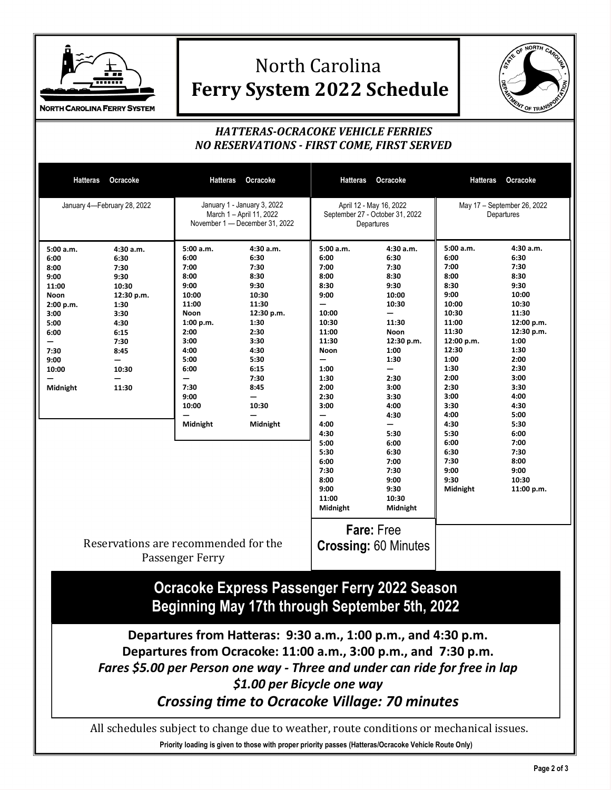

## North Carolina **Ferry System 2022 Schedule**



### *HATTERAS-OCRACOKE VEHICLE FERRIES NO RESERVATIONS - FIRST COME, FIRST SERVED*

| Hatteras                                                                                                                          | Ocracoke                                                                                                                   | <b>Hatteras</b>                                                                                                                                               | Ocracoke                                                                                                                                                                                                                                                                                            | <b>Hatteras</b>                                                                                                                                                                                                            | Ocracoke                                                                                                                                                                                                                                                | <b>Hatteras</b>                                                                                                                                                                                                                          | Ocracoke                                                                                                                                                                                                                                        |  |
|-----------------------------------------------------------------------------------------------------------------------------------|----------------------------------------------------------------------------------------------------------------------------|---------------------------------------------------------------------------------------------------------------------------------------------------------------|-----------------------------------------------------------------------------------------------------------------------------------------------------------------------------------------------------------------------------------------------------------------------------------------------------|----------------------------------------------------------------------------------------------------------------------------------------------------------------------------------------------------------------------------|---------------------------------------------------------------------------------------------------------------------------------------------------------------------------------------------------------------------------------------------------------|------------------------------------------------------------------------------------------------------------------------------------------------------------------------------------------------------------------------------------------|-------------------------------------------------------------------------------------------------------------------------------------------------------------------------------------------------------------------------------------------------|--|
| January 4-February 28, 2022                                                                                                       |                                                                                                                            |                                                                                                                                                               | January 1 - January 3, 2022<br>March 1 - April 11, 2022<br>November 1 - December 31, 2022                                                                                                                                                                                                           |                                                                                                                                                                                                                            | April 12 - May 16, 2022<br>September 27 - October 31, 2022<br>Departures                                                                                                                                                                                |                                                                                                                                                                                                                                          | May 17 - September 26, 2022<br>Departures                                                                                                                                                                                                       |  |
| 5:00 a.m.<br>6:00<br>8:00<br>9:00<br>11:00<br>Noon<br>2:00 p.m.<br>3:00<br>5:00<br>6:00<br>-<br>7:30<br>9:00<br>10:00<br>Midnight | 4:30 a.m.<br>6:30<br>7:30<br>9:30<br>10:30<br>12:30 p.m.<br>1:30<br>3:30<br>4:30<br>6:15<br>7:30<br>8:45<br>10:30<br>11:30 | 5:00 a.m.<br>6:00<br>7:00<br>8:00<br>9:00<br>10:00<br>11:00<br>Noon<br>1:00 p.m.<br>2:00<br>3:00<br>4:00<br>5:00<br>6:00<br>7:30<br>9:00<br>10:00<br>Midnight | 4:30 a.m.<br>6:30<br>7:30<br>8:30<br>9:30<br>10:30<br>11:30<br>12:30 p.m.<br>1:30<br>2:30<br>3:30<br>4:30<br>5:30<br>6:15<br>7:30<br>8:45<br>10:30<br>Midnight                                                                                                                                      | 5:00 a.m.<br>6:00<br>7:00<br>8:00<br>8:30<br>9:00<br>10:00<br>10:30<br>11:00<br>11:30<br>Noon<br>1:00<br>1:30<br>2:00<br>2:30<br>3:00<br>4:00<br>4:30<br>5:00<br>5:30<br>6:00<br>7:30<br>8:00<br>9:00<br>11:00<br>Midnight | 4:30 a.m.<br>6:30<br>7:30<br>8:30<br>9:30<br>10:00<br>10:30<br>—<br>11:30<br>Noon<br>12:30 p.m.<br>1:00<br>1:30<br>2:30<br>3:00<br>3:30<br>4:00<br>4:30<br>—<br>5:30<br>6:00<br>6:30<br>7:00<br>7:30<br>9:00<br>9:30<br>10:30<br>Midnight<br>Fare: Free | 5:00 a.m.<br>6:00<br>7:00<br>8:00<br>8:30<br>9:00<br>10:00<br>10:30<br>11:00<br>11:30<br>12:00 p.m.<br>12:30<br>1:00<br>1:30<br>2:00<br>2:30<br>3:00<br>3:30<br>4:00<br>4:30<br>5:30<br>6:00<br>6:30<br>7:30<br>9:00<br>9:30<br>Midnight | 4:30 a.m.<br>6:30<br>7:30<br>8:30<br>9:30<br>10:00<br>10:30<br>11:30<br>12:00 p.m.<br>12:30 p.m.<br>1:00<br>1:30<br>2:00<br>2:30<br>3:00<br>3:30<br>4:00<br>4:30<br>5:00<br>5:30<br>6:00<br>7:00<br>7:30<br>8:00<br>9:00<br>10:30<br>11:00 p.m. |  |
|                                                                                                                                   | Reservations are recommended for the                                                                                       | Passenger Ferry                                                                                                                                               |                                                                                                                                                                                                                                                                                                     |                                                                                                                                                                                                                            | <b>Crossing: 60 Minutes</b>                                                                                                                                                                                                                             |                                                                                                                                                                                                                                          |                                                                                                                                                                                                                                                 |  |
|                                                                                                                                   |                                                                                                                            |                                                                                                                                                               | <b>Ocracoke Express Passenger Ferry 2022 Season</b><br>Beginning May 17th through September 5th, 2022                                                                                                                                                                                               |                                                                                                                                                                                                                            |                                                                                                                                                                                                                                                         |                                                                                                                                                                                                                                          |                                                                                                                                                                                                                                                 |  |
|                                                                                                                                   |                                                                                                                            |                                                                                                                                                               | Departures from Hatteras: 9:30 a.m., 1:00 p.m., and 4:30 p.m.<br>Departures from Ocracoke: 11:00 a.m., 3:00 p.m., and 7:30 p.m.<br>Fares \$5.00 per Person one way - Three and under can ride for free in lap<br>\$1.00 per Bicycle one way<br><b>Crossing time to Ocracoke Village: 70 minutes</b> |                                                                                                                                                                                                                            |                                                                                                                                                                                                                                                         |                                                                                                                                                                                                                                          |                                                                                                                                                                                                                                                 |  |
|                                                                                                                                   |                                                                                                                            |                                                                                                                                                               | All schedules subject to change due to weather, route conditions or mechanical issues.<br>Priority loading is given to those with proper priority passes (Hatteras/Ocracoke Vehicle Route Only)                                                                                                     |                                                                                                                                                                                                                            |                                                                                                                                                                                                                                                         |                                                                                                                                                                                                                                          |                                                                                                                                                                                                                                                 |  |